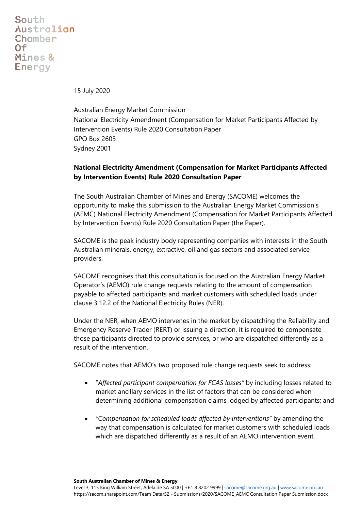South Australian **Chamber**  $O<sub>f</sub>$ Mines & **Energy** 

15 July 2020

Australian Energy Market Commission National Electricity Amendment (Compensation for Market Participants Affected by Intervention Events) Rule 2020 Consultation Paper GPO Box 2603 Sydney 2001

## **National Electricity Amendment (Compensation for Market Participants Affected by Intervention Events) Rule 2020 Consultation Paper**

The South Australian Chamber of Mines and Energy (SACOME) welcomes the opportunity to make this submission to the Australian Energy Market Commission's (AEMC) National Electricity Amendment (Compensation for Market Participants Affected by Intervention Events) Rule 2020 Consultation Paper (the Paper).

SACOME is the peak industry body representing companies with interests in the South Australian minerals, energy, extractive, oil and gas sectors and associated service providers.

SACOME recognises that this consultation is focused on the Australian Energy Market Operator's (AEMO) rule change requests relating to the amount of compensation payable to affected participants and market customers with scheduled loads under clause 3.12.2 of the National Electricity Rules (NER).

Under the NER, when AEMO intervenes in the market by dispatching the Reliability and Emergency Reserve Trader (RERT) or issuing a direction, it is required to compensate those participants directed to provide services, or who are dispatched differently as a result of the intervention.

SACOME notes that AEMO's two proposed rule change requests seek to address:

- "*Affected participant compensation for FCAS losses"* by including losses related to market ancillary services in the list of factors that can be considered when determining additional compensation claims lodged by affected participants; and
- *"Compensation for scheduled loads affected by interventions"* by amending the way that compensation is calculated for market customers with scheduled loads which are dispatched differently as a result of an AEMO intervention event.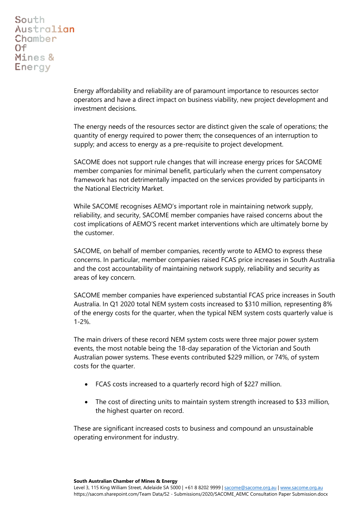South Australian **Chamber**  $O<sub>f</sub>$ Mines & **Energy** 

> Energy affordability and reliability are of paramount importance to resources sector operators and have a direct impact on business viability, new project development and investment decisions.

> The energy needs of the resources sector are distinct given the scale of operations; the quantity of energy required to power them; the consequences of an interruption to supply; and access to energy as a pre-requisite to project development.

SACOME does not support rule changes that will increase energy prices for SACOME member companies for minimal benefit, particularly when the current compensatory framework has not detrimentally impacted on the services provided by participants in the National Electricity Market.

While SACOME recognises AEMO's important role in maintaining network supply, reliability, and security, SACOME member companies have raised concerns about the cost implications of AEMO'S recent market interventions which are ultimately borne by the customer.

SACOME, on behalf of member companies, recently wrote to AEMO to express these concerns. In particular, member companies raised FCAS price increases in South Australia and the cost accountability of maintaining network supply, reliability and security as areas of key concern.

SACOME member companies have experienced substantial FCAS price increases in South Australia. In Q1 2020 total NEM system costs increased to \$310 million, representing 8% of the energy costs for the quarter, when the typical NEM system costs quarterly value is 1-2%.

The main drivers of these record NEM system costs were three major power system events, the most notable being the 18-day separation of the Victorian and South Australian power systems. These events contributed \$229 million, or 74%, of system costs for the quarter.

- FCAS costs increased to a quarterly record high of \$227 million.
- The cost of directing units to maintain system strength increased to \$33 million, the highest quarter on record.

These are significant increased costs to business and compound an unsustainable operating environment for industry.